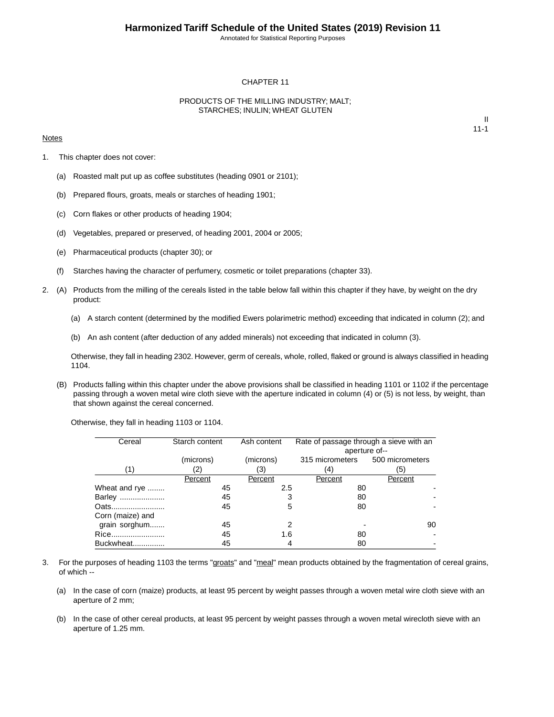Annotated for Statistical Reporting Purposes

#### CHAPTER 11

#### PRODUCTS OF THE MILLING INDUSTRY; MALT; STARCHES; INULIN; WHEAT GLUTEN

#### **Notes**

II 11-1

- 1. This chapter does not cover:
	- (a) Roasted malt put up as coffee substitutes (heading 0901 or 2101);
	- (b) Prepared flours, groats, meals or starches of heading 1901;
	- (c) Corn flakes or other products of heading 1904;
	- (d) Vegetables, prepared or preserved, of heading 2001, 2004 or 2005;
	- (e) Pharmaceutical products (chapter 30); or
	- (f) Starches having the character of perfumery, cosmetic or toilet preparations (chapter 33).
- 2. (A) Products from the milling of the cereals listed in the table below fall within this chapter if they have, by weight on the dry product:
	- (a) A starch content (determined by the modified Ewers polarimetric method) exceeding that indicated in column (2); and
	- (b) An ash content (after deduction of any added minerals) not exceeding that indicated in column (3).

Otherwise, they fall in heading 2302. However, germ of cereals, whole, rolled, flaked or ground is always classified in heading 1104.

(B) Products falling within this chapter under the above provisions shall be classified in heading 1101 or 1102 if the percentage passing through a woven metal wire cloth sieve with the aperture indicated in column (4) or (5) is not less, by weight, than that shown against the cereal concerned.

Otherwise, they fall in heading 1103 or 1104.

| Cereal           | Starch content | Ash content | Rate of passage through a sieve with an |         |
|------------------|----------------|-------------|-----------------------------------------|---------|
|                  |                |             | aperture of--                           |         |
|                  | (microns)      | (microns)   | 315 micrometers 500 micrometers         |         |
| (1)              | (2)            | (3)         | (4)                                     | (5)     |
|                  | Percent        | Percent     | Percent                                 | Percent |
| Wheat and rye    | 45             | 2.5         | 80                                      |         |
| Barley           | 45             | 3           | 80                                      |         |
| Oats             | 45             | 5           | 80                                      |         |
| Corn (maize) and |                |             |                                         |         |
| grain sorghum    | 45             | 2           |                                         | 90      |
| Rice             | 45             | 1.6         | 80                                      |         |
| Buckwheat        | 45             | 4           | 80                                      |         |

- 3. For the purposes of heading 1103 the terms "groats" and "meal" mean products obtained by the fragmentation of cereal grains, of which --
	- (a) In the case of corn (maize) products, at least 95 percent by weight passes through a woven metal wire cloth sieve with an aperture of 2 mm;
	- (b) In the case of other cereal products, at least 95 percent by weight passes through a woven metal wirecloth sieve with an aperture of 1.25 mm.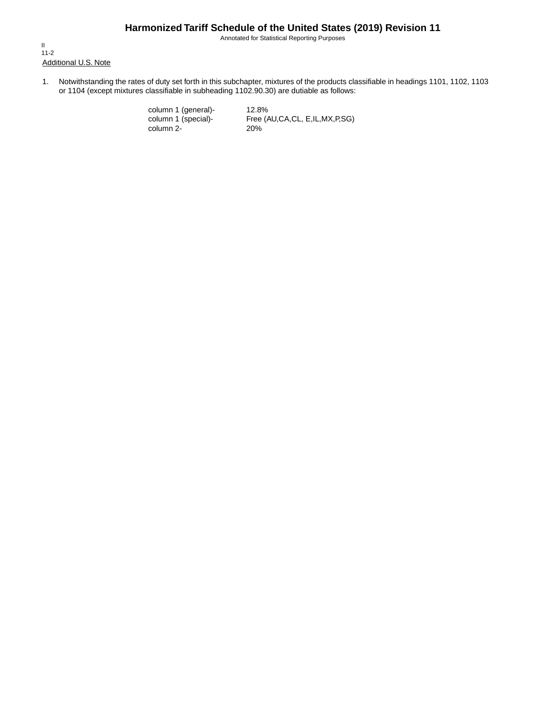Annotated for Statistical Reporting Purposes

Additional U.S. Note II 11-2

1. Notwithstanding the rates of duty set forth in this subchapter, mixtures of the products classifiable in headings 1101, 1102, 1103 or 1104 (except mixtures classifiable in subheading 1102.90.30) are dutiable as follows:

> column 1 (general)- 12.8%<br>column 1 (special)- Free (A column 2-

Free (AU,CA,CL, E,IL,MX,P,SG)<br>20%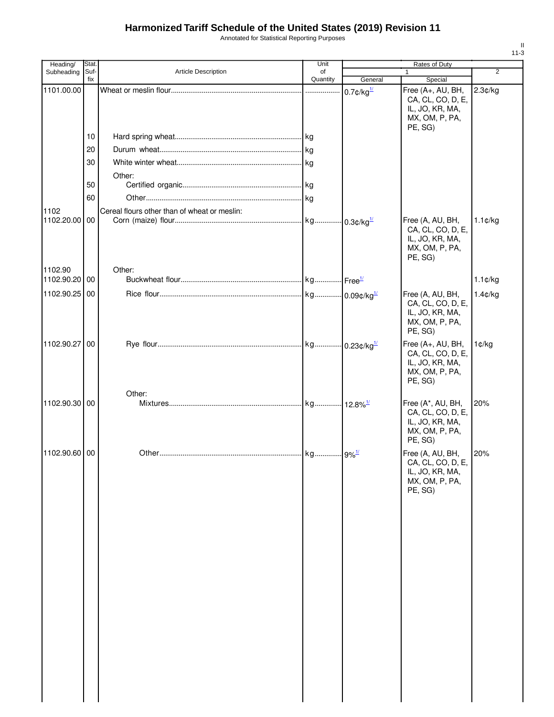Annotated for Statistical Reporting Purposes

| Heading/      | Stat. |                                              | Unit     |                          | <b>Rates of Duty</b>              |                   |
|---------------|-------|----------------------------------------------|----------|--------------------------|-----------------------------------|-------------------|
| Subheading    | Suf-  | Article Description                          | of       |                          | 1                                 | $\overline{2}$    |
|               | fix   |                                              | Quantity | General                  | Special                           |                   |
| 1101.00.00    |       |                                              |          | $0.7$ ¢/kg $\frac{1}{2}$ | Free (A+, AU, BH,                 | 2.3¢/kg           |
|               |       |                                              |          |                          | CA, CL, CO, D, E,                 |                   |
|               |       |                                              |          |                          | IL, JO, KR, MA,<br>MX, OM, P, PA, |                   |
|               |       |                                              |          |                          | PE, SG)                           |                   |
|               | 10    |                                              |          |                          |                                   |                   |
|               |       |                                              |          |                          |                                   |                   |
|               | 20    |                                              |          |                          |                                   |                   |
|               | 30    |                                              |          |                          |                                   |                   |
|               |       | Other:                                       |          |                          |                                   |                   |
|               | 50    |                                              |          |                          |                                   |                   |
|               | 60    |                                              |          |                          |                                   |                   |
|               |       |                                              |          |                          |                                   |                   |
| 1102          |       | Cereal flours other than of wheat or meslin: |          |                          |                                   |                   |
| 1102.20.00 00 |       |                                              |          |                          | Free (A, AU, BH,                  | $1.1$ ¢/kg        |
|               |       |                                              |          |                          | CA, CL, CO, D, E,                 |                   |
|               |       |                                              |          |                          | IL, JO, KR, MA,<br>MX, OM, P, PA, |                   |
|               |       |                                              |          |                          | PE, SG)                           |                   |
|               |       |                                              |          |                          |                                   |                   |
| 1102.90       |       | Other:                                       |          |                          |                                   |                   |
| 1102.90.20 00 |       |                                              |          |                          |                                   | $1.1 \text{C/kg}$ |
| 1102.90.25 00 |       |                                              |          |                          | Free (A, AU, BH,                  | 1.4¢/kg           |
|               |       |                                              |          |                          | CA, CL, CO, D, E,                 |                   |
|               |       |                                              |          |                          | IL, JO, KR, MA,                   |                   |
|               |       |                                              |          |                          | MX, OM, P, PA,                    |                   |
|               |       |                                              |          |                          | PE, SG)                           |                   |
| 1102.90.27 00 |       |                                              |          |                          | Free (A+, AU, BH,                 | 1¢/kg             |
|               |       |                                              |          |                          | CA, CL, CO, D, E,                 |                   |
|               |       |                                              |          |                          | IL, JO, KR, MA,                   |                   |
|               |       |                                              |          |                          | MX, OM, P, PA,                    |                   |
|               |       |                                              |          |                          | PE, SG)                           |                   |
|               |       | Other:                                       |          |                          |                                   |                   |
| 1102.90.30 00 |       |                                              |          |                          | Free (A*, AU, BH,                 | 20%               |
|               |       |                                              |          |                          | CA, CL, CO, D, E,                 |                   |
|               |       |                                              |          |                          | IL, JO, KR, MA,                   |                   |
|               |       |                                              |          |                          | MX, OM, P, PA,<br>PE, SG)         |                   |
|               |       |                                              |          |                          |                                   |                   |
| 1102.90.60 00 |       |                                              |          |                          | Free (A, AU, BH,                  | 20%               |
|               |       |                                              |          |                          | CA, CL, CO, D, E,                 |                   |
|               |       |                                              |          |                          | IL, JO, KR, MA,                   |                   |
|               |       |                                              |          |                          | MX, OM, P, PA,<br>PE, SG)         |                   |
|               |       |                                              |          |                          |                                   |                   |
|               |       |                                              |          |                          |                                   |                   |
|               |       |                                              |          |                          |                                   |                   |
|               |       |                                              |          |                          |                                   |                   |
|               |       |                                              |          |                          |                                   |                   |
|               |       |                                              |          |                          |                                   |                   |
|               |       |                                              |          |                          |                                   |                   |
|               |       |                                              |          |                          |                                   |                   |
|               |       |                                              |          |                          |                                   |                   |
|               |       |                                              |          |                          |                                   |                   |
|               |       |                                              |          |                          |                                   |                   |
|               |       |                                              |          |                          |                                   |                   |
|               |       |                                              |          |                          |                                   |                   |
|               |       |                                              |          |                          |                                   |                   |
|               |       |                                              |          |                          |                                   |                   |
|               |       |                                              |          |                          |                                   |                   |
|               |       |                                              |          |                          |                                   |                   |
|               |       |                                              |          |                          |                                   |                   |
|               |       |                                              |          |                          |                                   |                   |
|               |       |                                              |          |                          |                                   |                   |
|               |       |                                              |          |                          |                                   |                   |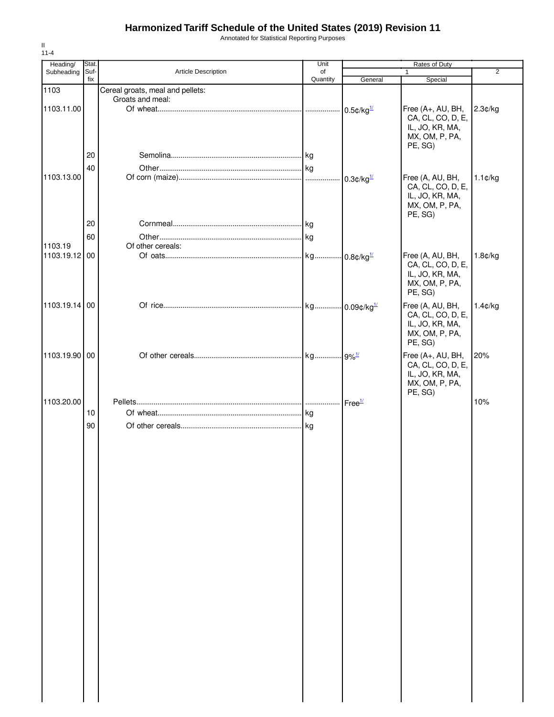Annotated for Statistical Reporting Purposes

| Heading/      | Stat. |                                  | Unit     |                          | Rates of Duty                         |                   |
|---------------|-------|----------------------------------|----------|--------------------------|---------------------------------------|-------------------|
| Subheading    | Suf-  | Article Description              | of       |                          |                                       | $\overline{2}$    |
|               | fix   |                                  | Quantity | General                  | Special                               |                   |
| 1103          |       | Cereal groats, meal and pellets: |          |                          |                                       |                   |
|               |       | Groats and meal:                 |          |                          |                                       |                   |
| 1103.11.00    |       |                                  |          | $0.5$ ¢/kg $\frac{1}{2}$ | Free (A+, AU, BH,                     | 2.3¢/kg           |
|               |       |                                  |          |                          | CA, CL, CO, D, E,<br>IL, JO, KR, MA,  |                   |
|               |       |                                  |          |                          | MX, OM, P, PA,                        |                   |
|               |       |                                  |          |                          | PE, SG)                               |                   |
|               | 20    |                                  |          |                          |                                       |                   |
|               |       |                                  |          |                          |                                       |                   |
|               | 40    |                                  |          |                          |                                       |                   |
| 1103.13.00    |       |                                  |          | $0.3$ ¢/kg $\frac{1}{2}$ | Free (A, AU, BH,<br>CA, CL, CO, D, E, | $1.1 \text{C/kg}$ |
|               |       |                                  |          |                          | IL, JO, KR, MA,                       |                   |
|               |       |                                  |          |                          | MX, OM, P, PA,                        |                   |
|               |       |                                  |          |                          | PE, SG)                               |                   |
|               | 20    |                                  |          |                          |                                       |                   |
|               | 60    |                                  |          |                          |                                       |                   |
| 1103.19       |       | Of other cereals:                |          |                          |                                       |                   |
| 1103.19.12 00 |       |                                  |          |                          | Free (A, AU, BH,                      | 1.8¢/kg           |
|               |       |                                  |          |                          | CA, CL, CO, D, E,                     |                   |
|               |       |                                  |          |                          | IL, JO, KR, MA,                       |                   |
|               |       |                                  |          |                          | MX, OM, P, PA,                        |                   |
|               |       |                                  |          |                          | PE, SG)                               |                   |
| 1103.19.14 00 |       |                                  |          |                          | Free (A, AU, BH,                      | $1.4$ ¢/kg        |
|               |       |                                  |          |                          | CA, CL, CO, D, E,                     |                   |
|               |       |                                  |          |                          | IL, JO, KR, MA,                       |                   |
|               |       |                                  |          |                          | MX, OM, P, PA,                        |                   |
|               |       |                                  |          |                          | PE, SG)                               |                   |
| 1103.19.90 00 |       |                                  |          |                          | Free (A+, AU, BH,                     | 20%               |
|               |       |                                  |          |                          | CA, CL, CO, D, E,                     |                   |
|               |       |                                  |          |                          | IL, JO, KR, MA,                       |                   |
|               |       |                                  |          |                          | MX, OM, P, PA,                        |                   |
|               |       |                                  |          |                          | PE, SG)                               |                   |
| 1103.20.00    |       |                                  |          | Free <sup>1/</sup>       |                                       | 10%               |
|               | 10    |                                  | kg       |                          |                                       |                   |
|               | 90    |                                  |          |                          |                                       |                   |
|               |       |                                  |          |                          |                                       |                   |
|               |       |                                  |          |                          |                                       |                   |
|               |       |                                  |          |                          |                                       |                   |
|               |       |                                  |          |                          |                                       |                   |
|               |       |                                  |          |                          |                                       |                   |
|               |       |                                  |          |                          |                                       |                   |
|               |       |                                  |          |                          |                                       |                   |
|               |       |                                  |          |                          |                                       |                   |
|               |       |                                  |          |                          |                                       |                   |
|               |       |                                  |          |                          |                                       |                   |
|               |       |                                  |          |                          |                                       |                   |
|               |       |                                  |          |                          |                                       |                   |
|               |       |                                  |          |                          |                                       |                   |
|               |       |                                  |          |                          |                                       |                   |
|               |       |                                  |          |                          |                                       |                   |
|               |       |                                  |          |                          |                                       |                   |
|               |       |                                  |          |                          |                                       |                   |
|               |       |                                  |          |                          |                                       |                   |
|               |       |                                  |          |                          |                                       |                   |
|               |       |                                  |          |                          |                                       |                   |
|               |       |                                  |          |                          |                                       |                   |
|               |       |                                  |          |                          |                                       |                   |
|               |       |                                  |          |                          |                                       |                   |
|               |       |                                  |          |                          |                                       |                   |
|               |       |                                  |          |                          |                                       |                   |
|               |       |                                  |          |                          |                                       |                   |
|               |       |                                  |          |                          |                                       |                   |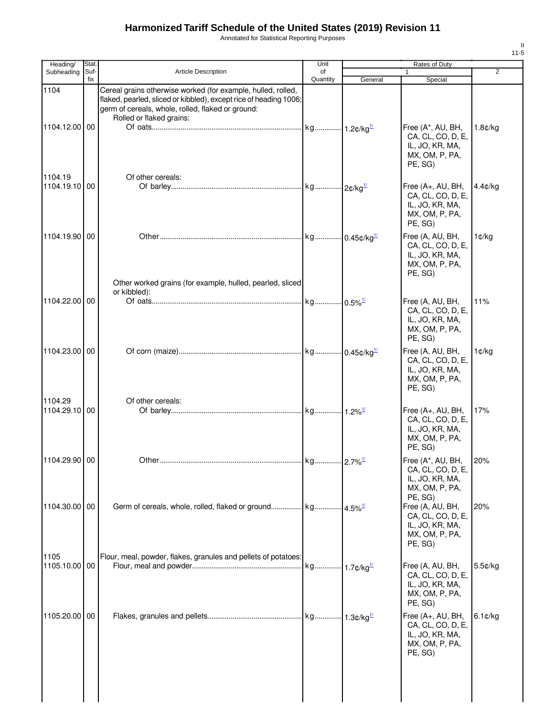Annotated for Statistical Reporting Purposes

| Heading/                 | Stat.       |                                                                                                                                                                                                                    | Unit           |         | Rates of Duty                                                                          |                |
|--------------------------|-------------|--------------------------------------------------------------------------------------------------------------------------------------------------------------------------------------------------------------------|----------------|---------|----------------------------------------------------------------------------------------|----------------|
| Subheading               | Suf-<br>fix | <b>Article Description</b>                                                                                                                                                                                         | of<br>Quantity | General | 1<br>Special                                                                           | $\overline{2}$ |
| 1104<br>1104.12.00 00    |             | Cereal grains otherwise worked (for example, hulled, rolled,<br>flaked, pearled, sliced or kibbled), except rice of heading 1006;<br>germ of cereals, whole, rolled, flaked or ground:<br>Rolled or flaked grains: |                |         | Free (A*, AU, BH,<br>CA, CL, CO, D, E,<br>IL, JO, KR, MA,<br>MX, OM, P, PA,<br>PE, SG) | 1.8¢/kg        |
| 1104.19<br>1104.19.10 00 |             | Of other cereals:                                                                                                                                                                                                  |                |         | Free (A+, AU, BH,<br>CA, CL, CO, D, E,<br>IL, JO, KR, MA,<br>MX, OM, P, PA,<br>PE, SG) | 4.4¢/kg        |
| 1104.19.90 00            |             | Other worked grains (for example, hulled, pearled, sliced                                                                                                                                                          |                |         | Free (A, AU, BH,<br>CA, CL, CO, D, E,<br>IL, JO, KR, MA,<br>MX, OM, P, PA,<br>PE, SG)  | 1¢/kg          |
| 1104.22.00 00            |             | or kibbled):                                                                                                                                                                                                       |                |         | Free (A, AU, BH,<br>CA, CL, CO, D, E,<br>IL, JO, KR, MA,<br>MX, OM, P, PA,<br>PE, SG)  | 11%            |
| 1104.23.00 00            |             |                                                                                                                                                                                                                    |                |         | Free (A, AU, BH,<br>CA, CL, CO, D, E,<br>IL, JO, KR, MA,<br>MX, OM, P, PA,<br>PE, SG)  | 1¢/kg          |
| 1104.29<br>1104.29.10 00 |             | Of other cereals:                                                                                                                                                                                                  |                |         | Free (A+, AU, BH,<br>CA, CL, CO, D, E,<br>IL, JO, KR, MA,<br>MX, OM, P, PA,<br>PE, SG) | 17%            |
| 1104.29.90 00            |             |                                                                                                                                                                                                                    |                |         | Free (A*, AU, BH,<br>CA, CL, CO, D, E,<br>IL, JO, KR, MA,<br>MX, OM, P, PA,<br>PE, SG) | 20%            |
| 1104.30.00 00            |             |                                                                                                                                                                                                                    |                |         | Free (A, AU, BH,<br>CA, CL, CO, D, E,<br>IL, JO, KR, MA,<br>MX, OM, P, PA,<br>PE, SG)  | 20%            |
| 1105<br>1105.10.00 00    |             | Flour, meal, powder, flakes, granules and pellets of potatoes:                                                                                                                                                     |                |         | Free (A, AU, BH,<br>CA, CL, CO, D, E,<br>IL, JO, KR, MA,<br>MX, OM, P, PA,<br>PE, SG)  | 5.5¢/kg        |
| 1105.20.00 00            |             |                                                                                                                                                                                                                    |                |         | Free (A+, AU, BH,<br>CA, CL, CO, D, E,<br>IL, JO, KR, MA,<br>MX, OM, P, PA,<br>PE, SG) | 6.1¢/kg        |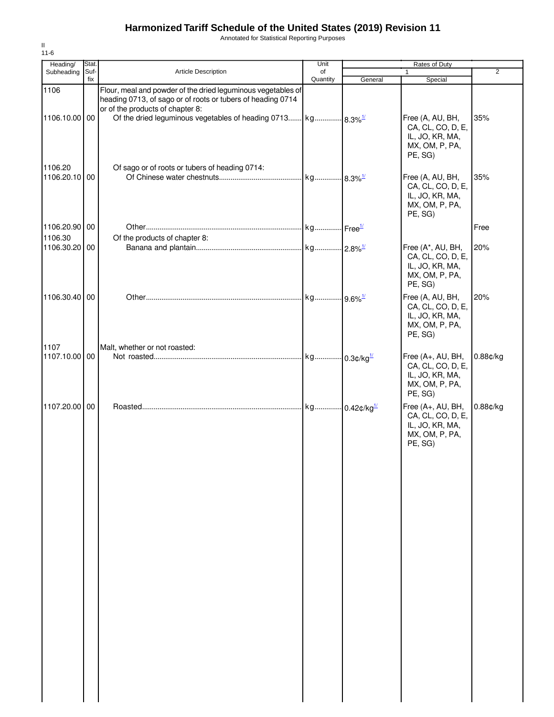Annotated for Statistical Reporting Purposes

| Heading/                 | Stat.       |                                                                                                                                                                 | Unit           |         | Rates of Duty                                                                          |                |
|--------------------------|-------------|-----------------------------------------------------------------------------------------------------------------------------------------------------------------|----------------|---------|----------------------------------------------------------------------------------------|----------------|
| Subheading               | Suf-<br>fix | <b>Article Description</b>                                                                                                                                      | of<br>Quantity | General | $\mathbf{1}$<br>Special                                                                | $\overline{2}$ |
| 1106                     |             | Flour, meal and powder of the dried leguminous vegetables of<br>heading 0713, of sago or of roots or tubers of heading 0714<br>or of the products of chapter 8: |                |         |                                                                                        |                |
| 1106.10.00 00<br>1106.20 |             | Of sago or of roots or tubers of heading 0714:                                                                                                                  |                |         | Free (A, AU, BH,<br>CA, CL, CO, D, E,<br>IL, JO, KR, MA,<br>MX, OM, P, PA,<br>PE, SG)  | 35%            |
| 1106.20.10 00            |             |                                                                                                                                                                 |                |         | Free (A, AU, BH,<br>CA, CL, CO, D, E,<br>IL, JO, KR, MA,<br>MX, OM, P, PA,<br>PE, SG)  | 35%            |
| 1106.20.90 00<br>1106.30 |             | Of the products of chapter 8:                                                                                                                                   |                |         |                                                                                        | Free           |
| 1106.30.20 00            |             |                                                                                                                                                                 |                |         | Free (A*, AU, BH,<br>CA, CL, CO, D, E,<br>IL, JO, KR, MA,<br>MX, OM, P, PA,<br>PE, SG) | 20%            |
| 1106.30.40 00            |             |                                                                                                                                                                 |                |         | Free (A, AU, BH,<br>CA, CL, CO, D, E,<br>IL, JO, KR, MA,<br>MX, OM, P, PA,<br>PE, SG)  | 20%            |
| 1107<br>1107.10.00 00    |             | Malt, whether or not roasted:                                                                                                                                   |                |         | Free (A+, AU, BH,<br>CA, CL, CO, D, E,<br>IL, JO, KR, MA,<br>MX, OM, P, PA,<br>PE, SG) | 0.88¢/kg       |
| 1107.20.00 00            |             |                                                                                                                                                                 |                |         | Free (A+, AU, BH,<br>CA, CL, CO, D, E,<br>IL, JO, KR, MA,<br>MX, OM, P, PA,<br>PE, SG) | 0.88¢/kg       |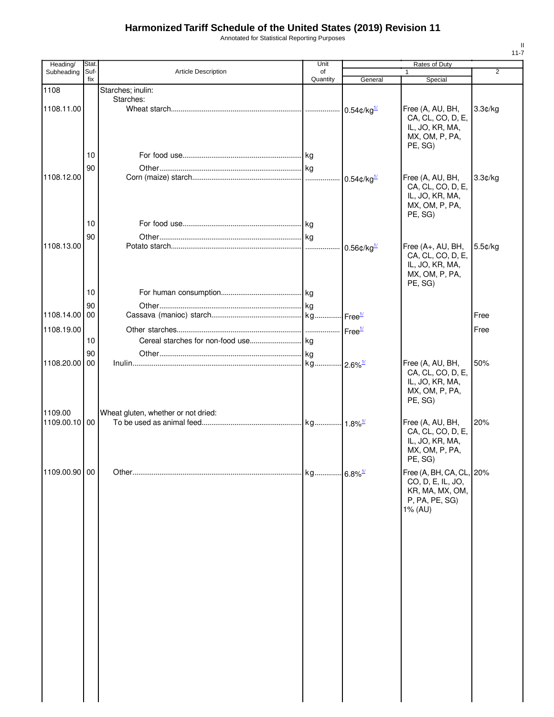Annotated for Statistical Reporting Purposes

| Heading/                 | Stat.       |                                     | Unit           |                            | Rates of Duty                                                                          |                |
|--------------------------|-------------|-------------------------------------|----------------|----------------------------|----------------------------------------------------------------------------------------|----------------|
| Subheading               | Suf-<br>fix | <b>Article Description</b>          | of<br>Quantity |                            |                                                                                        | $\overline{2}$ |
| 1108                     |             | Starches; inulin:                   |                | General                    | Special                                                                                |                |
|                          |             | Starches:                           |                |                            |                                                                                        |                |
| 1108.11.00               |             |                                     |                | $0.54$ ¢/kg $^{1/2}$       | Free (A, AU, BH,<br>CA, CL, CO, D, E,<br>IL, JO, KR, MA,<br>MX, OM, P, PA,<br>PE, SG)  | 3.3¢/kg        |
|                          | 10          |                                     |                |                            |                                                                                        |                |
|                          | 90          |                                     |                |                            |                                                                                        |                |
| 1108.12.00               |             |                                     |                | $0.54$ ¢/kg $^{1/2}$       | Free (A, AU, BH,<br>CA, CL, CO, D, E,<br>IL, JO, KR, MA,                               | 3.3¢/kg        |
|                          |             |                                     |                |                            | MX, OM, P, PA,<br>PE, SG)                                                              |                |
|                          | 10          |                                     |                |                            |                                                                                        |                |
|                          | 90          |                                     |                |                            |                                                                                        |                |
| 1108.13.00               |             |                                     | .              | $0.56$ ¢/kg $^{1/2}$       | Free (A+, AU, BH,<br>CA, CL, CO, D, E,<br>IL, JO, KR, MA,<br>MX, OM, P, PA,<br>PE, SG) | 5.5¢/kg        |
|                          | 10          |                                     |                |                            |                                                                                        |                |
|                          | 90          |                                     |                |                            |                                                                                        |                |
| 1108.14.00 00            |             |                                     |                | $\cdot$ Free $\frac{1}{2}$ |                                                                                        | Free           |
| 1108.19.00               |             |                                     |                | Free <sup>1/</sup>         |                                                                                        | Free           |
|                          | 10          |                                     |                |                            |                                                                                        |                |
|                          |             |                                     |                |                            |                                                                                        |                |
| 1108.20.00 00            | 90          |                                     |                |                            |                                                                                        | 50%            |
|                          |             |                                     | kg             | $-2.6\%$ <sup>1/</sup>     | Free (A, AU, BH,<br>CA, CL, CO, D, E,<br>IL, JO, KR, MA,<br>MX, OM, P, PA,<br>PE, SG)  |                |
| 1109.00<br>1109.00.10 00 |             | Wheat gluten, whether or not dried: |                |                            |                                                                                        |                |
|                          |             |                                     |                |                            | Free (A, AU, BH,<br>CA, CL, CO, D, E,<br>IL, JO, KR, MA,<br>MX, OM, P, PA,<br>PE, SG)  | 20%            |
| 1109.00.90 00            |             |                                     | kg             | $.6.8\%$ <sup>1/</sup>     | Free (A, BH, CA, CL, 20%                                                               |                |
|                          |             |                                     |                |                            | CO, D, E, IL, JO,<br>KR, MA, MX, OM,<br>P, PA, PE, SG)<br>1% (AU)                      |                |
|                          |             |                                     |                |                            |                                                                                        |                |
|                          |             |                                     |                |                            |                                                                                        |                |
|                          |             |                                     |                |                            |                                                                                        |                |
|                          |             |                                     |                |                            |                                                                                        |                |
|                          |             |                                     |                |                            |                                                                                        |                |
|                          |             |                                     |                |                            |                                                                                        |                |
|                          |             |                                     |                |                            |                                                                                        |                |
|                          |             |                                     |                |                            |                                                                                        |                |